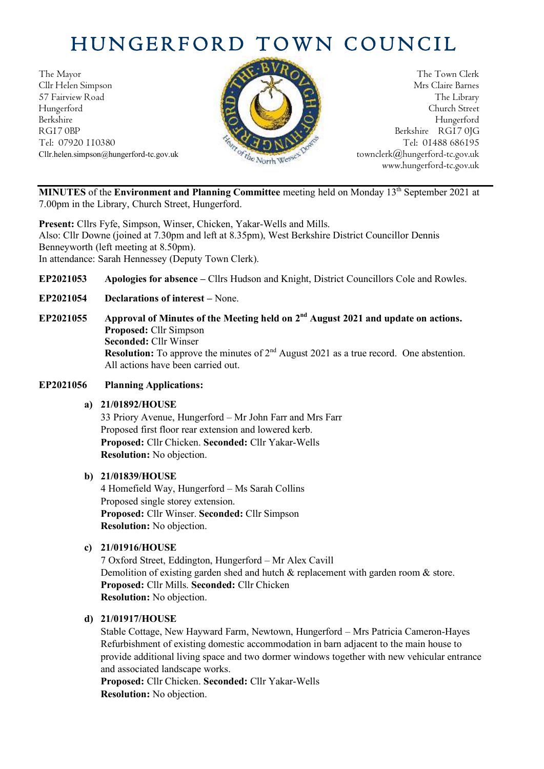# HUNGERFORD TOWN COUNCIL

The Mayor The Town Clerk<br>Clir Helen Simpson Mrs Claire Barnes Cllr Helen Simpson 57 Fairview Road The Library Hungerford Church Street Berkshire Hungerford RG17 0BP Berkshire RG17 0JG Tel: 07920 110380 Tel: 07920 110380



Cllr.helen.simpson@hungerford-tc.gov.uk [townclerk@hungerford-tc.gov.uk](mailto:townclerk@hungerford-tc.gov.uk) townclerk@hungerford-tc.gov.uk www.hungerford-tc.gov.uk

**MINUTES** of the **Environment and Planning Committee** meeting held on Monday 13<sup>th</sup> September 2021 at 7.00pm in the Library, Church Street, Hungerford.

**Present:** Cllrs Fyfe, Simpson, Winser, Chicken, Yakar-Wells and Mills. Also: Cllr Downe (joined at 7.30pm and left at 8.35pm), West Berkshire District Councillor Dennis Benneyworth (left meeting at 8.50pm). In attendance: Sarah Hennessey (Deputy Town Clerk).

**EP2021053 Apologies for absence –** Cllrs Hudson and Knight, District Councillors Cole and Rowles.

- **EP2021054 Declarations of interest –** None.
- EP2021055 Approval of Minutes of the Meeting held on  $2<sup>nd</sup>$  August 2021 and update on actions. **Proposed:** Cllr Simpson **Seconded:** Cllr Winser **Resolution:** To approve the minutes of 2<sup>nd</sup> August 2021 as a true record. One abstention. All actions have been carried out.

#### **EP2021056 Planning Applications:**

#### **a) 21/01892/HOUSE**

33 Priory Avenue, Hungerford – Mr John Farr and Mrs Farr Proposed first floor rear extension and lowered kerb. **Proposed:** Cllr Chicken. **Seconded:** Cllr Yakar-Wells **Resolution:** No objection.

#### **b) 21/01839/HOUSE**

4 Homefield Way, Hungerford – Ms Sarah Collins Proposed single storey extension. **Proposed:** Cllr Winser. **Seconded:** Cllr Simpson **Resolution:** No objection.

#### **c) 21/01916/HOUSE**

7 Oxford Street, Eddington, Hungerford – Mr Alex Cavill Demolition of existing garden shed and hutch & replacement with garden room & store. **Proposed:** Cllr Mills. **Seconded:** Cllr Chicken **Resolution:** No objection.

#### **d) 21/01917/HOUSE**

Stable Cottage, New Hayward Farm, Newtown, Hungerford – Mrs Patricia Cameron-Hayes Refurbishment of existing domestic accommodation in barn adjacent to the main house to provide additional living space and two dormer windows together with new vehicular entrance and associated landscape works.

**Proposed:** Cllr Chicken. **Seconded:** Cllr Yakar-Wells **Resolution:** No objection.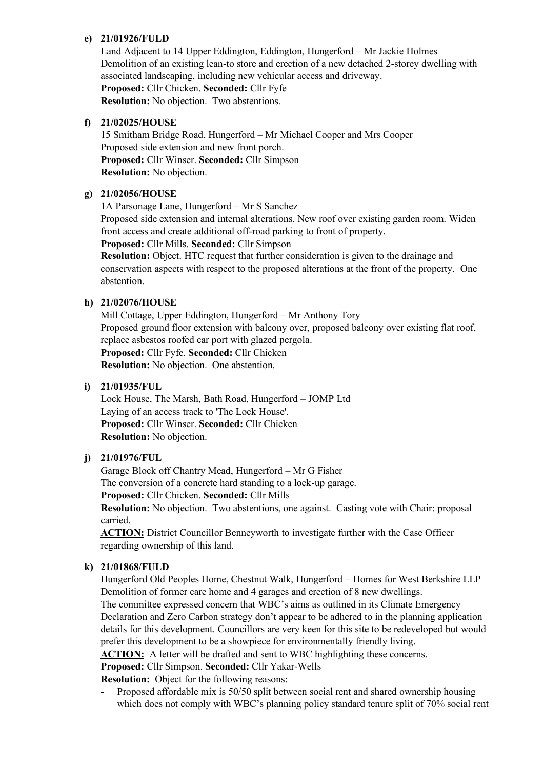#### **e) 21/01926/FULD**

Land Adjacent to 14 Upper Eddington, Eddington, Hungerford – Mr Jackie Holmes Demolition of an existing lean-to store and erection of a new detached 2-storey dwelling with associated landscaping, including new vehicular access and driveway. **Proposed:** Cllr Chicken. **Seconded:** Cllr Fyfe **Resolution:** No objection. Two abstentions.

#### **f) 21/02025/HOUSE**

15 Smitham Bridge Road, Hungerford – Mr Michael Cooper and Mrs Cooper Proposed side extension and new front porch. **Proposed:** Cllr Winser. **Seconded:** Cllr Simpson **Resolution:** No objection.

#### **g) 21/02056/HOUSE**

1A Parsonage Lane, Hungerford – Mr S Sanchez Proposed side extension and internal alterations. New roof over existing garden room. Widen front access and create additional off-road parking to front of property.

**Proposed:** Cllr Mills. **Seconded:** Cllr Simpson

**Resolution:** Object. HTC request that further consideration is given to the drainage and conservation aspects with respect to the proposed alterations at the front of the property. One abstention.

#### **h) 21/02076/HOUSE**

Mill Cottage, Upper Eddington, Hungerford – Mr Anthony Tory Proposed ground floor extension with balcony over, proposed balcony over existing flat roof, replace asbestos roofed car port with glazed pergola.

**Proposed:** Cllr Fyfe. **Seconded:** Cllr Chicken **Resolution:** No objection. One abstention.

#### **i) 21/01935/FUL**

Lock House, The Marsh, Bath Road, Hungerford – JOMP Ltd Laying of an access track to 'The Lock House'. **Proposed:** Cllr Winser. **Seconded:** Cllr Chicken **Resolution:** No objection.

#### **j) 21/01976/FUL**

Garage Block off Chantry Mead, Hungerford – Mr G Fisher

The conversion of a concrete hard standing to a lock-up garage.

**Proposed:** Cllr Chicken. **Seconded:** Cllr Mills

**Resolution:** No objection. Two abstentions, one against. Casting vote with Chair: proposal carried.

**ACTION:** District Councillor Benneyworth to investigate further with the Case Officer regarding ownership of this land.

#### **k) 21/01868/FULD**

Hungerford Old Peoples Home, Chestnut Walk, Hungerford – Homes for West Berkshire LLP Demolition of former care home and 4 garages and erection of 8 new dwellings.

The committee expressed concern that WBC's aims as outlined in its Climate Emergency Declaration and Zero Carbon strategy don't appear to be adhered to in the planning application details for this development. Councillors are very keen for this site to be redeveloped but would prefer this development to be a showpiece for environmentally friendly living.

**ACTION:** A letter will be drafted and sent to WBC highlighting these concerns.

**Proposed:** Cllr Simpson. **Seconded:** Cllr Yakar-Wells

**Resolution:** Object for the following reasons:

Proposed affordable mix is 50/50 split between social rent and shared ownership housing which does not comply with WBC's planning policy standard tenure split of 70% social rent